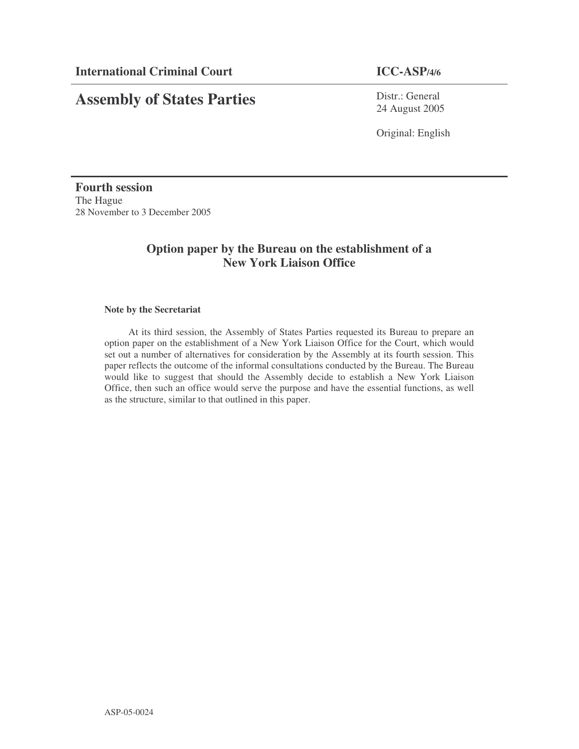# **Assembly of States Parties**

Distr.: General 24 August 2005

Original: English

**Fourth session** The Hague 28 November to 3 December 2005

# **Option paper by the Bureau on the establishment of a New York Liaison Office**

# **Note by the Secretariat**

At its third session, the Assembly of States Parties requested its Bureau to prepare an option paper on the establishment of a New York Liaison Office for the Court, which would set out a number of alternatives for consideration by the Assembly at its fourth session. This paper reflects the outcome of the informal consultations conducted by the Bureau. The Bureau would like to suggest that should the Assembly decide to establish a New York Liaison Office, then such an office would serve the purpose and have the essential functions, as well as the structure, similar to that outlined in this paper.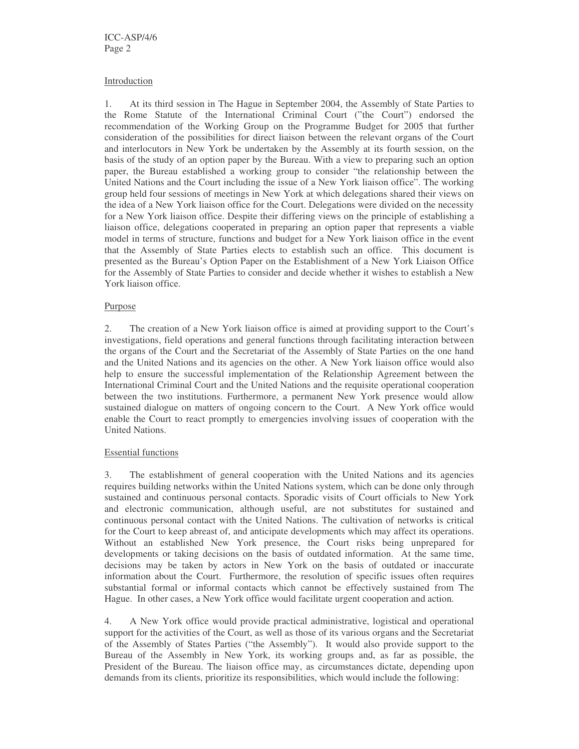#### Introduction

1. At its third session in The Hague in September 2004, the Assembly of State Parties to the Rome Statute of the International Criminal Court ("the Court") endorsed the recommendation of the Working Group on the Programme Budget for 2005 that further consideration of the possibilities for direct liaison between the relevant organs of the Court and interlocutors in New York be undertaken by the Assembly at its fourth session, on the basis of the study of an option paper by the Bureau. With a view to preparing such an option paper, the Bureau established a working group to consider "the relationship between the United Nations and the Court including the issue of a New York liaison office". The working group held four sessions of meetings in New York at which delegations shared their views on the idea of a New York liaison office for the Court. Delegations were divided on the necessity for a New York liaison office. Despite their differing views on the principle of establishing a liaison office, delegations cooperated in preparing an option paper that represents a viable model in terms of structure, functions and budget for a New York liaison office in the event that the Assembly of State Parties elects to establish such an office. This document is presented as the Bureau's Option Paper on the Establishment of a New York Liaison Office for the Assembly of State Parties to consider and decide whether it wishes to establish a New York liaison office.

# Purpose

2. The creation of a New York liaison office is aimed at providing support to the Court's investigations, field operations and general functions through facilitating interaction between the organs of the Court and the Secretariat of the Assembly of State Parties on the one hand and the United Nations and its agencies on the other. A New York liaison office would also help to ensure the successful implementation of the Relationship Agreement between the International Criminal Court and the United Nations and the requisite operational cooperation between the two institutions. Furthermore, a permanent New York presence would allow sustained dialogue on matters of ongoing concern to the Court. A New York office would enable the Court to react promptly to emergencies involving issues of cooperation with the United Nations.

# Essential functions

3. The establishment of general cooperation with the United Nations and its agencies requires building networks within the United Nations system, which can be done only through sustained and continuous personal contacts. Sporadic visits of Court officials to New York and electronic communication, although useful, are not substitutes for sustained and continuous personal contact with the United Nations. The cultivation of networks is critical for the Court to keep abreast of, and anticipate developments which may affect its operations. Without an established New York presence, the Court risks being unprepared for developments or taking decisions on the basis of outdated information. At the same time, decisions may be taken by actors in New York on the basis of outdated or inaccurate information about the Court. Furthermore, the resolution of specific issues often requires substantial formal or informal contacts which cannot be effectively sustained from The Hague. In other cases, a New York office would facilitate urgent cooperation and action.

4. A New York office would provide practical administrative, logistical and operational support for the activities of the Court, as well as those of its various organs and the Secretariat of the Assembly of States Parties ("the Assembly"). It would also provide support to the Bureau of the Assembly in New York, its working groups and, as far as possible, the President of the Bureau. The liaison office may, as circumstances dictate, depending upon demands from its clients, prioritize its responsibilities, which would include the following: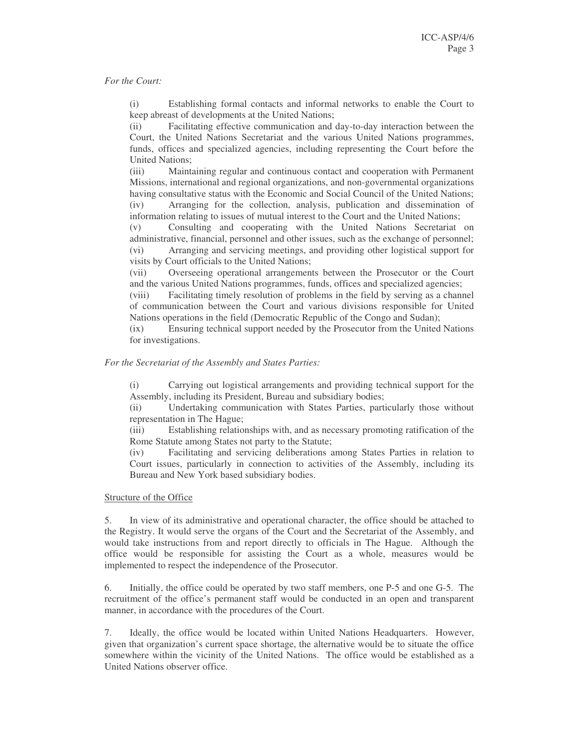#### *For the Court:*

(i) Establishing formal contacts and informal networks to enable the Court to keep abreast of developments at the United Nations;

(ii) Facilitating effective communication and day-to-day interaction between the Court, the United Nations Secretariat and the various United Nations programmes, funds, offices and specialized agencies, including representing the Court before the United Nations;

(iii) Maintaining regular and continuous contact and cooperation with Permanent Missions, international and regional organizations, and non-governmental organizations having consultative status with the Economic and Social Council of the United Nations; (iv) Arranging for the collection, analysis, publication and dissemination of information relating to issues of mutual interest to the Court and the United Nations;

(v) Consulting and cooperating with the United Nations Secretariat on administrative, financial, personnel and other issues, such as the exchange of personnel; (vi) Arranging and servicing meetings, and providing other logistical support for visits by Court officials to the United Nations;

(vii) Overseeing operational arrangements between the Prosecutor or the Court and the various United Nations programmes, funds, offices and specialized agencies;

(viii) Facilitating timely resolution of problems in the field by serving as a channel of communication between the Court and various divisions responsible for United Nations operations in the field (Democratic Republic of the Congo and Sudan);

(ix) Ensuring technical support needed by the Prosecutor from the United Nations for investigations.

#### *For the Secretariat of the Assembly and States Parties:*

(i) Carrying out logistical arrangements and providing technical support for the Assembly, including its President, Bureau and subsidiary bodies;

(ii) Undertaking communication with States Parties, particularly those without representation in The Hague;

(iii) Establishing relationships with, and as necessary promoting ratification of the Rome Statute among States not party to the Statute;

(iv) Facilitating and servicing deliberations among States Parties in relation to Court issues, particularly in connection to activities of the Assembly, including its Bureau and New York based subsidiary bodies.

#### Structure of the Office

5. In view of its administrative and operational character, the office should be attached to the Registry. It would serve the organs of the Court and the Secretariat of the Assembly, and would take instructions from and report directly to officials in The Hague. Although the office would be responsible for assisting the Court as a whole, measures would be implemented to respect the independence of the Prosecutor.

6. Initially, the office could be operated by two staff members, one P-5 and one G-5. The recruitment of the office's permanent staff would be conducted in an open and transparent manner, in accordance with the procedures of the Court.

7. Ideally, the office would be located within United Nations Headquarters. However, given that organization's current space shortage, the alternative would be to situate the office somewhere within the vicinity of the United Nations. The office would be established as a United Nations observer office.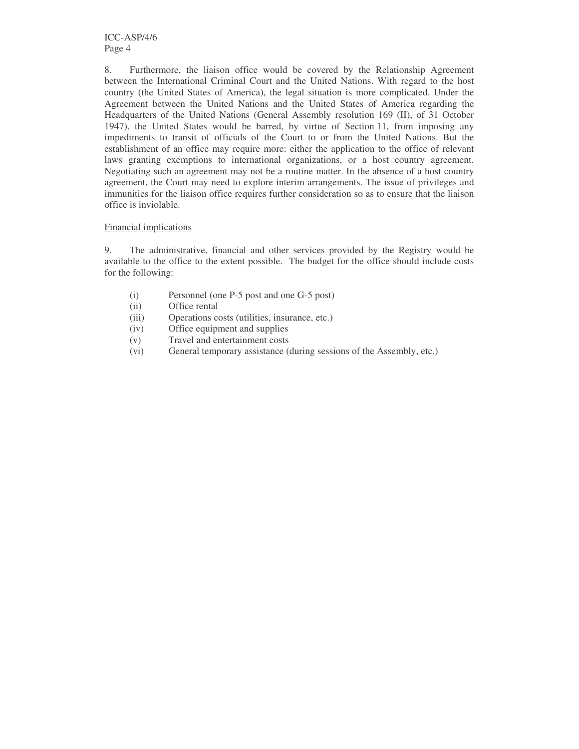8. Furthermore, the liaison office would be covered by the Relationship Agreement between the International Criminal Court and the United Nations. With regard to the host country (the United States of America), the legal situation is more complicated. Under the Agreement between the United Nations and the United States of America regarding the Headquarters of the United Nations (General Assembly resolution 169 (II), of 31 October 1947), the United States would be barred, by virtue of Section 11, from imposing any impediments to transit of officials of the Court to or from the United Nations. But the establishment of an office may require more: either the application to the office of relevant laws granting exemptions to international organizations, or a host country agreement. Negotiating such an agreement may not be a routine matter. In the absence of a host country agreement, the Court may need to explore interim arrangements. The issue of privileges and immunities for the liaison office requires further consideration so as to ensure that the liaison office is inviolable.

#### Financial implications

9. The administrative, financial and other services provided by the Registry would be available to the office to the extent possible. The budget for the office should include costs for the following:

- (i) Personnel (one P-5 post and one G-5 post)
- (ii) Office rental
- (iii) Operations costs (utilities, insurance, etc.)
- (iv) Office equipment and supplies
- (v) Travel and entertainment costs
- (vi) General temporary assistance (during sessions of the Assembly, etc.)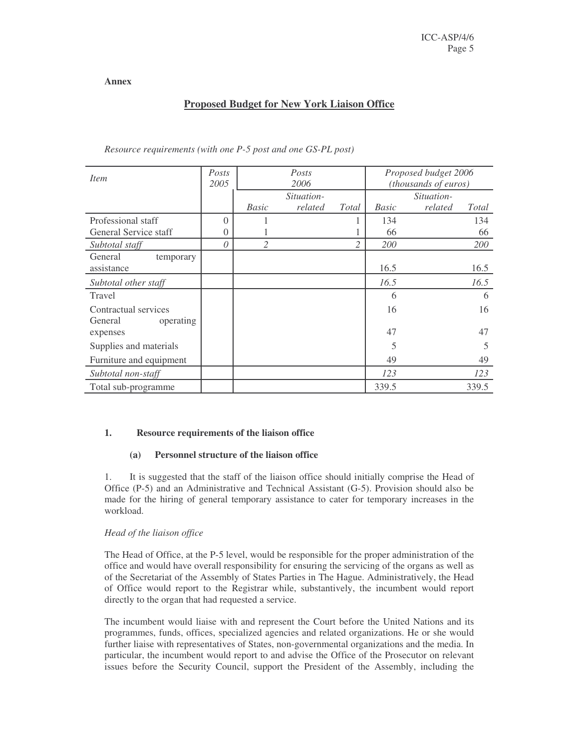**Annex**

# **Proposed Budget for New York Liaison Office**

| Item                                         | Posts<br>2005 | Posts<br>2006  |         |                | Proposed budget 2006<br>(thousands of euros) |         |       |
|----------------------------------------------|---------------|----------------|---------|----------------|----------------------------------------------|---------|-------|
|                                              |               | Situation-     |         |                | Situation-                                   |         |       |
|                                              |               | <b>Basic</b>   | related | Total          | <b>Basic</b>                                 | related | Total |
| Professional staff                           | $\Omega$      |                |         |                | 134                                          |         | 134   |
| General Service staff                        | $\Omega$      |                |         |                | 66                                           |         | 66    |
| Subtotal staff                               | 0             | $\overline{2}$ |         | $\overline{c}$ | 200                                          |         | 200   |
| General<br>temporary<br>assistance           |               |                |         |                | 16.5                                         |         | 16.5  |
| Subtotal other staff                         |               |                |         |                | 16.5                                         |         | 16.5  |
| Travel                                       |               |                |         |                | 6                                            |         | 6     |
| Contractual services<br>General<br>operating |               |                |         |                | 16                                           |         | 16    |
| expenses                                     |               |                |         |                | 47                                           |         | 47    |
| Supplies and materials                       |               |                |         |                | 5                                            |         | 5     |
| Furniture and equipment                      |               |                |         |                | 49                                           |         | 49    |
| Subtotal non-staff                           |               |                |         |                | 123                                          |         | 123   |
| Total sub-programme                          |               |                |         |                | 339.5                                        |         | 339.5 |

*Resource requirements (with one P-5 post and one GS-PL post)*

# **1. Resource requirements of the liaison office**

# **(a) Personnel structure of the liaison office**

1. It is suggested that the staff of the liaison office should initially comprise the Head of Office (P-5) and an Administrative and Technical Assistant (G-5). Provision should also be made for the hiring of general temporary assistance to cater for temporary increases in the workload.

# *Head of the liaison office*

The Head of Office, at the P-5 level, would be responsible for the proper administration of the office and would have overall responsibility for ensuring the servicing of the organs as well as of the Secretariat of the Assembly of States Parties in The Hague. Administratively, the Head of Office would report to the Registrar while, substantively, the incumbent would report directly to the organ that had requested a service.

The incumbent would liaise with and represent the Court before the United Nations and its programmes, funds, offices, specialized agencies and related organizations. He or she would further liaise with representatives of States, non-governmental organizations and the media. In particular, the incumbent would report to and advise the Office of the Prosecutor on relevant issues before the Security Council, support the President of the Assembly, including the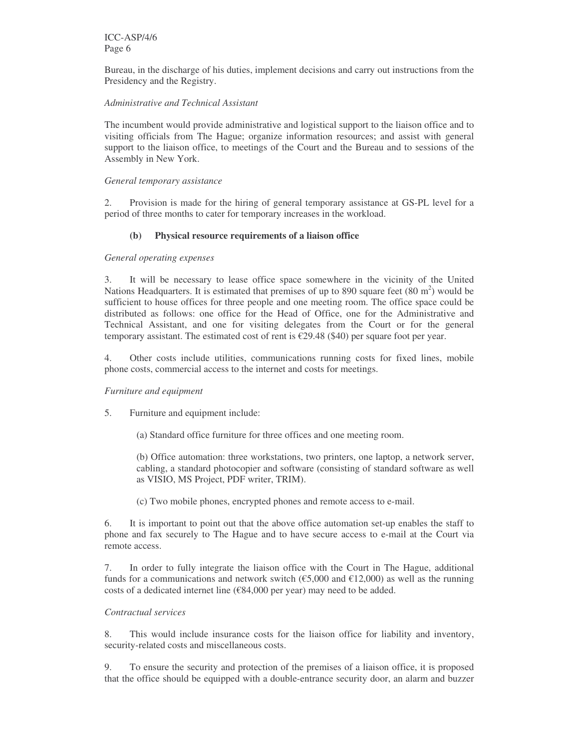ICC-ASP/4/6 Page 6

Bureau, in the discharge of his duties, implement decisions and carry out instructions from the Presidency and the Registry.

# *Administrative and Technical Assistant*

The incumbent would provide administrative and logistical support to the liaison office and to visiting officials from The Hague; organize information resources; and assist with general support to the liaison office, to meetings of the Court and the Bureau and to sessions of the Assembly in New York.

#### *General temporary assistance*

2. Provision is made for the hiring of general temporary assistance at GS-PL level for a period of three months to cater for temporary increases in the workload.

#### **(b) Physical resource requirements of a liaison office**

#### *General operating expenses*

3. It will be necessary to lease office space somewhere in the vicinity of the United Nations Headquarters. It is estimated that premises of up to 890 square feet  $(80 \text{ m}^2)$  would be sufficient to house offices for three people and one meeting room. The office space could be distributed as follows: one office for the Head of Office, one for the Administrative and Technical Assistant, and one for visiting delegates from the Court or for the general temporary assistant. The estimated cost of rent is  $\epsilon$ 29.48 (\$40) per square foot per year.

4. Other costs include utilities, communications running costs for fixed lines, mobile phone costs, commercial access to the internet and costs for meetings.

#### *Furniture and equipment*

5. Furniture and equipment include:

(a) Standard office furniture for three offices and one meeting room.

(b) Office automation: three workstations, two printers, one laptop, a network server, cabling, a standard photocopier and software (consisting of standard software as well as VISIO, MS Project, PDF writer, TRIM).

(c) Two mobile phones, encrypted phones and remote access to e-mail.

6. It is important to point out that the above office automation set-up enables the staff to phone and fax securely to The Hague and to have secure access to e-mail at the Court via remote access.

7. In order to fully integrate the liaison office with the Court in The Hague, additional funds for a communications and network switch ( $\epsilon$ 5,000 and  $\epsilon$ 12,000) as well as the running costs of a dedicated internet line ( $\epsilon$ 84,000 per year) may need to be added.

#### *Contractual services*

8. This would include insurance costs for the liaison office for liability and inventory, security-related costs and miscellaneous costs.

9. To ensure the security and protection of the premises of a liaison office, it is proposed that the office should be equipped with a double-entrance security door, an alarm and buzzer